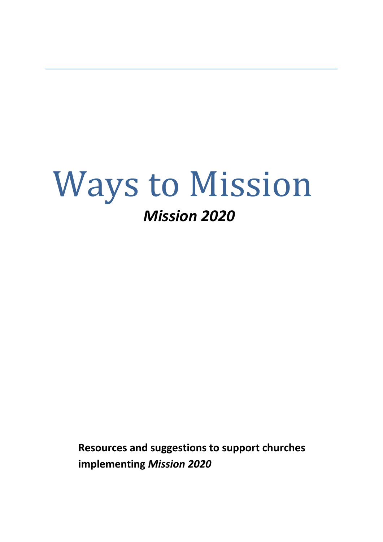# Ways to Mission *Mission 2020*

**Resources and suggestions to support churches implementing** *Mission 2020*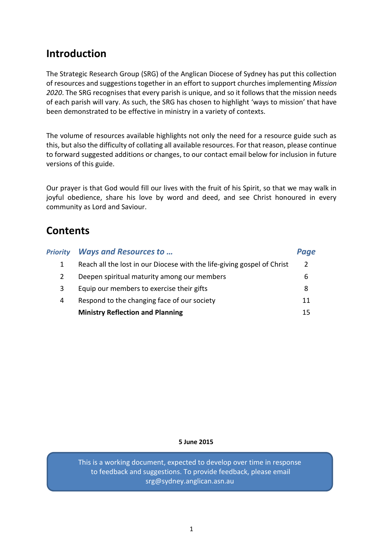# **Introduction**

The Strategic Research Group (SRG) of the Anglican Diocese of Sydney has put this collection of resources and suggestions together in an effort to support churches implementing *Mission 2020*. The SRG recognises that every parish is unique, and so it follows that the mission needs of each parish will vary. As such, the SRG has chosen to highlight 'ways to mission' that have been demonstrated to be effective in ministry in a variety of contexts.

The volume of resources available highlights not only the need for a resource guide such as this, but also the difficulty of collating all available resources. For that reason, please continue to forward suggested additions or changes, to our contact email below for inclusion in future versions of this guide.

Our prayer is that God would fill our lives with the fruit of his Spirit, so that we may walk in joyful obedience, share his love by word and deed, and see Christ honoured in every community as Lord and Saviour.

# **Contents**

| <b>Priority</b> | <b>Ways and Resources to </b>                                           | Page          |
|-----------------|-------------------------------------------------------------------------|---------------|
|                 | Reach all the lost in our Diocese with the life-giving gospel of Christ | $\mathcal{L}$ |
| 2               | Deepen spiritual maturity among our members                             | b             |
| 3               | Equip our members to exercise their gifts                               | 8             |
| 4               | Respond to the changing face of our society                             | 11            |
|                 | <b>Ministry Reflection and Planning</b>                                 | 15            |

#### **5 June 2015**

This is a working document, expected to develop over time in response to feedback and suggestions. To provide feedback, please email srg@sydney.anglican.asn.au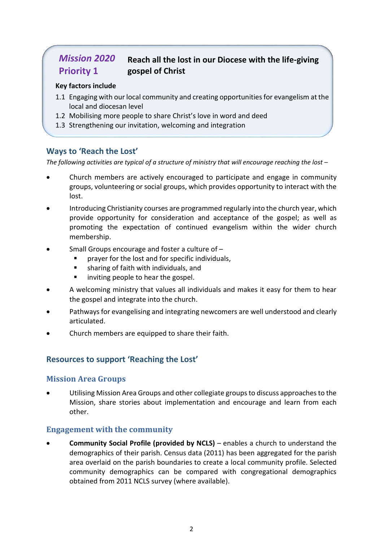#### *Mission 2020* **Priority 1 Reach all the lost in our Diocese with the life-giving gospel of Christ**

#### **Key factors include**

- 1.1 Engaging with our local community and creating opportunities for evangelism at the local and diocesan level
- 1.2 Mobilising more people to share Christ's love in word and deed
- 1.3 Strengthening our invitation, welcoming and integration

#### **Ways to 'Reach the Lost'**

*The following activities are typical of a structure of ministry that will encourage reaching the lost –*

- Church members are actively encouraged to participate and engage in community groups, volunteering or social groups, which provides opportunity to interact with the lost.
- Introducing Christianity courses are programmed regularly into the church year, which provide opportunity for consideration and acceptance of the gospel; as well as promoting the expectation of continued evangelism within the wider church membership.
- Small Groups encourage and foster a culture of
	- prayer for the lost and for specific individuals,
	- sharing of faith with individuals, and
	- inviting people to hear the gospel.
- A welcoming ministry that values all individuals and makes it easy for them to hear the gospel and integrate into the church.
- Pathways for evangelising and integrating newcomers are well understood and clearly articulated.
- Church members are equipped to share their faith.

#### **Resources to support 'Reaching the Lost'**

#### **Mission Area Groups**

 Utilising Mission Area Groups and other collegiate groups to discuss approaches to the Mission, share stories about implementation and encourage and learn from each other.

#### **Engagement with the community**

 **Community Social Profile (provided by NCLS)** – enables a church to understand the demographics of their parish. Census data (2011) has been aggregated for the parish area overlaid on the parish boundaries to create a local community profile. Selected community demographics can be compared with congregational demographics obtained from 2011 NCLS survey (where available).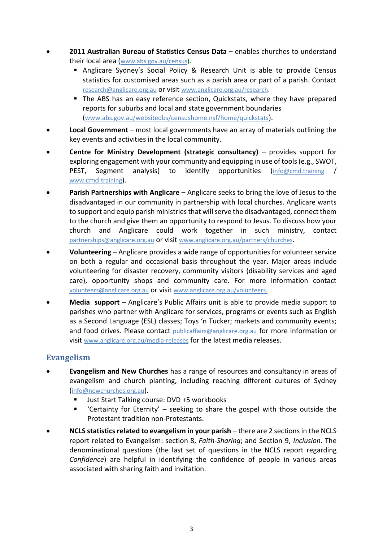- **2011 Australian Bureau of Statistics Census Data** enables churches to understand their local area ([www.abs.gov.au/census](http://www.abs.gov.au/census)**).**
	- **Anglicare Sydney's Social Policy & Research Unit is able to provide Census** statistics for customised areas such as a parish area or part of a parish. Contact research@anglicare.org.au or visit www.anglicare.org.au/research.
	- The ABS has an easy reference section, Quickstats, where they have prepared reports for suburbs and local and state government boundaries ([www.abs.gov.au/websitedbs/censushome.nsf/home/quickstats](http://www.abs.gov.au/websitedbs/censushome.nsf/home/quickstats)).
- **Local Government** most local governments have an array of materials outlining the key events and activities in the local community.
- **Centre for Ministry Development (strategic consultancy)** provides support for exploring engagement with your community and equipping in use of tools (e.g., SWOT, PEST, Segment analysis) to identify opportunities ([info@cmd.training](mailto:info@cmd.training) / www.cmd[.training](http://www.cmd.training/)).
- **Parish Partnerships with Anglicare** Anglicare seeks to bring the love of Jesus to the disadvantaged in our community in partnership with local churches. Anglicare wants to support and equip parish ministries that will serve the disadvantaged, connect them to the church and give them an opportunity to respond to Jesus. To discuss how your church and Anglicare could work together in such ministry, contact partnerships@anglicare.org.au or visit www.anglicare.org.au/partners/churches.
- **Volunteering** Anglicare provides a wide range of opportunities for volunteer service on both a regular and occasional basis throughout the year. Major areas include volunteering for disaster recovery, community visitors (disability services and aged care), opportunity shops and community care. For more information contact volunteers@anglicare.org.au or visit www.anglicare.org.au/volunteers.
- **Media support** Anglicare's Public Affairs unit is able to provide media support to parishes who partner with Anglicare for services, programs or events such as English as a Second Language (ESL) classes; Toys 'n Tucker; markets and community events; and food drives. Please contact publicaffairs@anglicare.org.au for more information or visit www.anglicare.org.au/media-releases for the latest media releases.

#### **Evangelism**

- **Evangelism and New Churches** has a range of resources and consultancy in areas of evangelism and church planting, including reaching different cultures of Sydney ([info@newchurches.org.au](mailto:info@newchurches.org.au)).
	- Just Start Talking course: DVD +5 workbooks
	- 'Certainty for Eternity' seeking to share the gospel with those outside the Protestant tradition non-Protestants.
- **NCLS statistics related to evangelism in your parish** there are 2 sections in the NCLS report related to Evangelism: section 8, *Faith-Sharing*; and Section 9, *Inclusion*. The denominational questions (the last set of questions in the NCLS report regarding *Confidence*) are helpful in identifying the confidence of people in various areas associated with sharing faith and invitation.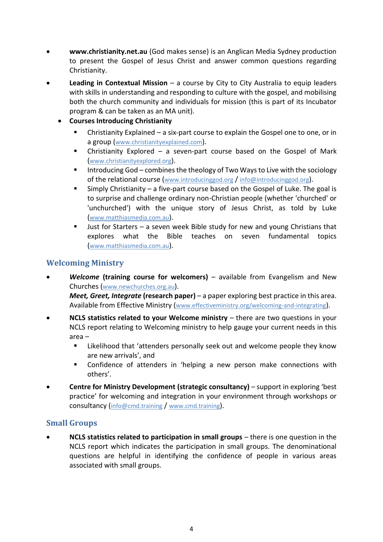- **[www.christianity.net.au](http://www.christianity.net.au/)** (God makes sense) is an Anglican Media Sydney production to present the Gospel of Jesus Christ and answer common questions regarding Christianity.
- **Leading in Contextual Mission** a course by City to City Australia to equip leaders with skills in understanding and responding to culture with the gospel, and mobilising both the church community and individuals for mission (this is part of its Incubator program & can be taken as an MA unit).
	- **Courses Introducing Christianity**
		- Christianity Explained a six-part course to explain the Gospel one to one, or in a group ([www.christianityexplained.com](http://www.christianityexplained.com/)).
		- Christianity Explored a seven-part course based on the Gospel of Mark ([www.christianityexplored.org](http://www.christianityexplored.org/)).
		- Introducing God combines the theology of Two Ways to Live with the sociology of the relational course ([www.introducinggod.org](http://www.introducinggod.org/) / info@introducinggod.org).
		- Simply Christianity a five-part course based on the Gospel of Luke. The goal is to surprise and challenge ordinary non-Christian people (whether 'churched' or 'unchurched') with the unique story of Jesus Christ, as told by Luke ([www.matthiasmedia.com.au](http://www.matthiasmedia.com.au/)).
		- Just for Starters a seven week Bible study for new and young Christians that explores what the Bible teaches on seven fundamental topics ([www.matthiasmedia.com.au](http://www.matthiasmedia.com.au/)).

#### **Welcoming Ministry**

- *Welcome* **(training course for welcomers)**  available from Evangelism and New Churches ([www.newchurches.org.au](http://www.newchurches.org.au/)). *Meet, Greet, Integrate* **(research paper)** – a paper exploring best practice in this area. Available from Effective Ministry (www.effectiveministry.org/welcoming-and-integrating).
- **NCLS statistics related to your Welcome ministry** there are two questions in your NCLS report relating to Welcoming ministry to help gauge your current needs in this area –
	- **EXECT** Likelihood that 'attenders personally seek out and welcome people they know are new arrivals', and
	- Confidence of attenders in 'helping a new person make connections with others'.
- **Centre for Ministry Development (strategic consultancy)** support in exploring 'best practice' for welcoming and integration in your environment through workshops or consultancy ([info@cmd.training](mailto:info@cmd.training) / [www.cmd.training](http://www.cmd.training/)).

#### **Small Groups**

 **NCLS statistics related to participation in small groups** – there is one question in the NCLS report which indicates the participation in small groups. The denominational questions are helpful in identifying the confidence of people in various areas associated with small groups.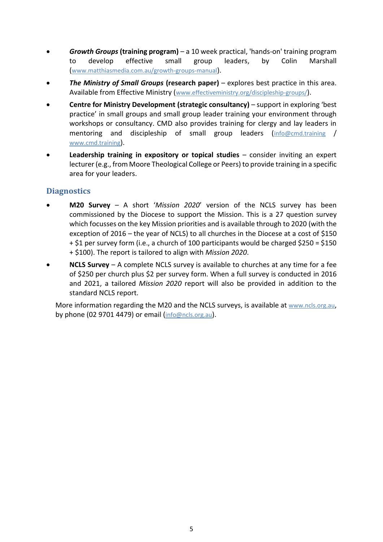- *Growth Groups* **(training program)** a 10 week practical, 'hands-on' training program to develop effective small group leaders, by Colin Marshall ([www.matthiasmedia.com.au/growth-groups-manual](http://www.matthiasmedia.com.au/growth-groups-manual)).
- *The Ministry of Small Groups* **(research paper)** explores best practice in this area. Available from Effective Ministry ([www.effectiveministry.org/discipleship-groups/](http://www.effectiveministry.org/discipleship-groups/)).
- **Centre for Ministry Development (strategic consultancy)** support in exploring 'best practice' in small groups and small group leader training your environment through workshops or consultancy. CMD also provides training for clergy and lay leaders in mentoring and discipleship of small group leaders ([info@cmd.training](mailto:info@cmd.training) / [www.cmd.training](http://www.cmd.training/)).
- **Leadership training in expository or topical studies** consider inviting an expert lecturer (e.g., from Moore Theological College or Peers) to provide training in a specific area for your leaders.

#### **Diagnostics**

- **M20 Survey** A short '*Mission 2020*' version of the NCLS survey has been commissioned by the Diocese to support the Mission. This is a 27 question survey which focusses on the key Mission priorities and is available through to 2020 (with the exception of 2016 – the year of NCLS) to all churches in the Diocese at a cost of \$150 + \$1 per survey form (i.e., a church of 100 participants would be charged \$250 = \$150 + \$100). The report is tailored to align with *Mission 2020*.
- **NCLS Survey**  A complete NCLS survey is available to churches at any time for a fee of \$250 per church plus \$2 per survey form. When a full survey is conducted in 2016 and 2021, a tailored *Mission 2020* report will also be provided in addition to the standard NCLS report.

More information regarding the M20 and the NCLS surveys, is available at [www.ncls.org.au](http://www.ncls.org.au/), by phone (02 9701 4479) or email ([info@ncls.org.au](mailto:info@ncls.org.au)).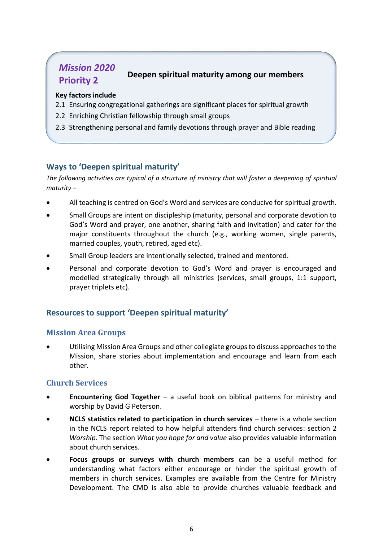# *Mission 2020* **Priority 2 Deepen spiritual maturity among our members**

#### **Key factors include**

- 2.1 Ensuring congregational gatherings are significant places for spiritual growth
- 2.2 Enriching Christian fellowship through small groups
- 2.3 Strengthening personal and family devotions through prayer and Bible reading

#### **Ways to 'Deepen spiritual maturity'**

*The following activities are typical of a structure of ministry that will foster a deepening of spiritual maturity –*

- All teaching is centred on God's Word and services are conducive for spiritual growth.
- Small Groups are intent on discipleship (maturity, personal and corporate devotion to God's Word and prayer, one another, sharing faith and invitation) and cater for the major constituents throughout the church (e.g., working women, single parents, married couples, youth, retired, aged etc).
- Small Group leaders are intentionally selected, trained and mentored.
- Personal and corporate devotion to God's Word and prayer is encouraged and modelled strategically through all ministries (services, small groups, 1:1 support, prayer triplets etc).

#### **Resources to support 'Deepen spiritual maturity'**

#### **Mission Area Groups**

 Utilising Mission Area Groups and other collegiate groups to discuss approaches to the Mission, share stories about implementation and encourage and learn from each other.

#### **Church Services**

- **Encountering God Together** a useful book on biblical patterns for ministry and worship by David G Peterson.
- **NCLS statistics related to participation in church services** there is a whole section in the NCLS report related to how helpful attenders find church services: section 2 *Worship*. The section *What you hope for and value* also provides valuable information about church services.
- **Focus groups or surveys with church members** can be a useful method for understanding what factors either encourage or hinder the spiritual growth of members in church services. Examples are available from the Centre for Ministry Development. The CMD is also able to provide churches valuable feedback and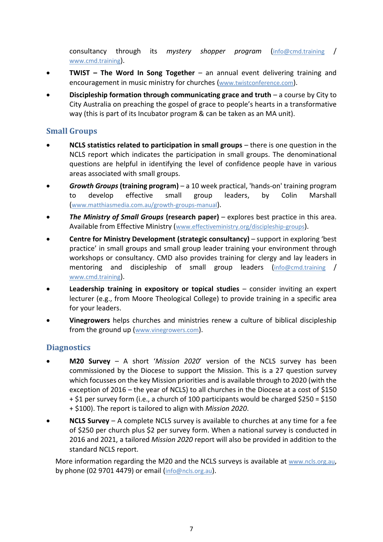consultancy through its *mystery shopper program* ([info@cmd.training](mailto:info@cmd.training) / [www.cmd.training](http://www.cmd.training/)).

- **TWIST – The Word In Song Together** an annual event delivering training and encouragement in music ministry for churches ([www.twistconference.com](http://www.twistconference.com/)).
- **Discipleship formation through communicating grace and truth** a course by City to City Australia on preaching the gospel of grace to people's hearts in a transformative way (this is part of its Incubator program & can be taken as an MA unit).

#### **Small Groups**

- **NCLS statistics related to participation in small groups** there is one question in the NCLS report which indicates the participation in small groups. The denominational questions are helpful in identifying the level of confidence people have in various areas associated with small groups.
- *Growth Groups* **(training program)** a 10 week practical, 'hands-on' training program to develop effective small group leaders, by Colin Marshall ([www.matthiasmedia.com.au/growth-groups-manual](http://www.matthiasmedia.com.au/growth-groups-manual)).
- *The Ministry of Small Groups* **(research paper)** explores best practice in this area. Available from Effective Ministry ([www.effectiveministry.org/discipleship-groups](http://www.effectiveministry.org/discipleship-groups)).
- **Centre for Ministry Development (strategic consultancy)** support in exploring 'best practice' in small groups and small group leader training your environment through workshops or consultancy. CMD also provides training for clergy and lay leaders in mentoring and discipleship of small group leaders ([info@cmd.training](mailto:info@cmd.training) / [www.cmd.training](http://www.cmd.training/)).
- **Leadership training in expository or topical studies** consider inviting an expert lecturer (e.g., from Moore Theological College) to provide training in a specific area for your leaders.
- **Vinegrowers** helps churches and ministries renew a culture of biblical discipleship from the ground up ([www.vinegrowers.com](http://www.vinegrowers.com/)).

#### **Diagnostics**

- **M20 Survey** A short '*Mission 2020*' version of the NCLS survey has been commissioned by the Diocese to support the Mission. This is a 27 question survey which focusses on the key Mission priorities and is available through to 2020 (with the exception of 2016 – the year of NCLS) to all churches in the Diocese at a cost of \$150 + \$1 per survey form (i.e., a church of 100 participants would be charged \$250 = \$150 + \$100). The report is tailored to align with *Mission 2020*.
- **NCLS Survey** A complete NCLS survey is available to churches at any time for a fee of \$250 per church plus \$2 per survey form. When a national survey is conducted in 2016 and 2021, a tailored *Mission 2020* report will also be provided in addition to the standard NCLS report.

More information regarding the M20 and the NCLS surveys is available at [www.ncls.org.au](http://www.ncls.org.au/), by phone (02 9701 4479) or email ([info@ncls.org.au](mailto:info@ncls.org.au)).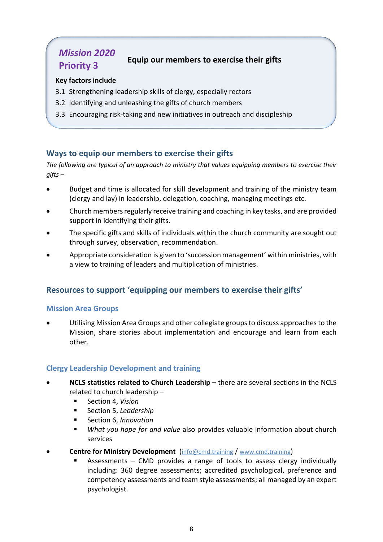# *Mission 2020* **Priority 3 Equip our members to exercise their gifts**

#### **Key factors include**

- 3.1 Strengthening leadership skills of clergy, especially rectors
- 3.2 Identifying and unleashing the gifts of church members
- 3.3 Encouraging risk-taking and new initiatives in outreach and discipleship

#### **Ways to equip our members to exercise their gifts**

*The following are typical of an approach to ministry that values equipping members to exercise their gifts –*

- Budget and time is allocated for skill development and training of the ministry team (clergy and lay) in leadership, delegation, coaching, managing meetings etc.
- Church members regularly receive training and coaching in key tasks, and are provided support in identifying their gifts.
- The specific gifts and skills of individuals within the church community are sought out through survey, observation, recommendation.
- Appropriate consideration is given to 'succession management' within ministries, with a view to training of leaders and multiplication of ministries.

#### **Resources to support 'equipping our members to exercise their gifts'**

#### **Mission Area Groups**

 Utilising Mission Area Groups and other collegiate groups to discuss approaches to the Mission, share stories about implementation and encourage and learn from each other.

#### **Clergy Leadership Development and training**

- **NCLS statistics related to Church Leadership** there are several sections in the NCLS related to church leadership –
	- Section 4, *Vision*
	- Section 5, *Leadership*
	- Section 6, *Innovation*
	- *What you hope for and value* also provides valuable information about church services
- **Centre for Ministry Development** ([info@cmd.training](mailto:info@cmd.training) / [www.cmd.training](http://www.cmd.training/))
	- Assessments CMD provides a range of tools to assess clergy individually including: 360 degree assessments; accredited psychological, preference and competency assessments and team style assessments; all managed by an expert psychologist.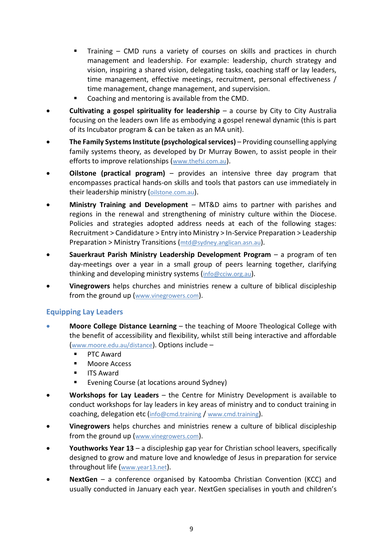- Training CMD runs a variety of courses on skills and practices in church management and leadership. For example: leadership, church strategy and vision, inspiring a shared vision, delegating tasks, coaching staff or lay leaders, time management, effective meetings, recruitment, personal effectiveness / time management, change management, and supervision.
- Coaching and mentoring is available from the CMD.
- **Cultivating a gospel spirituality for leadership** a course by City to City Australia focusing on the leaders own life as embodying a gospel renewal dynamic (this is part of its Incubator program & can be taken as an MA unit).
- **The Family Systems Institute (psychological services)** Providing counselling applying family systems theory, as developed by Dr Murray Bowen, to assist people in their efforts to improve relationships ([www.thefsi.com.au](http://www.thefsi.com.au/)).
- **Oilstone (practical program)** provides an intensive three day program that encompasses practical hands-on skills and tools that pastors can use immediately in their leadership ministry ([oilstone.com.au](http://oilstone.com.au/)).
- **Ministry Training and Development** MT&D aims to partner with parishes and regions in the renewal and strengthening of ministry culture within the Diocese. Policies and strategies adopted address needs at each of the following stages: Recruitment > Candidature > Entry into Ministry > In-Service Preparation > Leadership Preparation > Ministry Transitions ( $\frac{\text{mtd@sydney.} \text{anglican.} \text{asn.} \text{au}}{\text{mtd@sydney.} \text{anglican.} \text{asn.} \text{au}}}$
- **Sauerkraut Parish Ministry Leadership Development Program** a program of ten day-meetings over a year in a small group of peers learning together, clarifying thinking and developing ministry systems ([info@cciw.org.au](mailto:info@cciw.org.au)).
- **Vinegrowers** helps churches and ministries renew a culture of biblical discipleship from the ground up ([www.vinegrowers.com](http://www.vinegrowers.com/)).

#### **Equipping Lay Leaders**

- **Moore College Distance Learning** the teaching of Moore Theological College with the benefit of accessibility and flexibility, whilst still being interactive and affordable (www.moore.edu.au/distance). Options include –
	- PTC Award
	- Moore Access
	- **ITS Award**
	- Evening Course (at locations around Sydney)
- **Workshops for Lay Leaders** the Centre for Ministry Development is available to conduct workshops for lay leaders in key areas of ministry and to conduct training in coaching, delegation etc ([info@cmd.training](mailto:info@cmd.training) / [www.cmd.training](http://www.cmd.training/)).
- **Vinegrowers** helps churches and ministries renew a culture of biblical discipleship from the ground up ([www.vinegrowers.com](http://www.vinegrowers.com/)).
- **Youthworks Year 13** a discipleship gap year for Christian school leavers, specifically designed to grow and mature love and knowledge of Jesus in preparation for service throughout life ([www.year13.net](http://www.year13.net/)).
- **NextGen** a conference organised by Katoomba Christian Convention (KCC) and usually conducted in January each year. NextGen specialises in youth and children's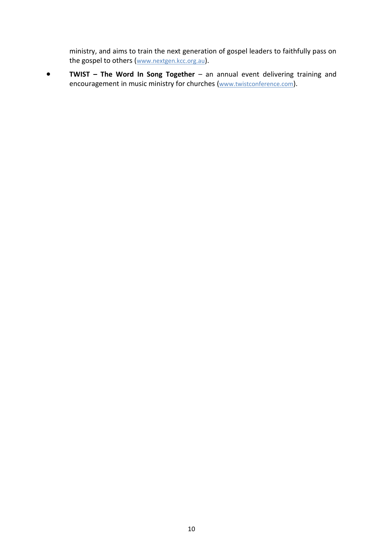ministry, and aims to train the next generation of gospel leaders to faithfully pass on the gospel to others ([www.nextgen.kcc.org.au](http://www.nextgen.kcc.org.au/)).

**•** TWIST – The Word In Song Together – an annual event delivering training and encouragement in music ministry for churches ([www.twistconference.com](http://www.twistconference.com/)).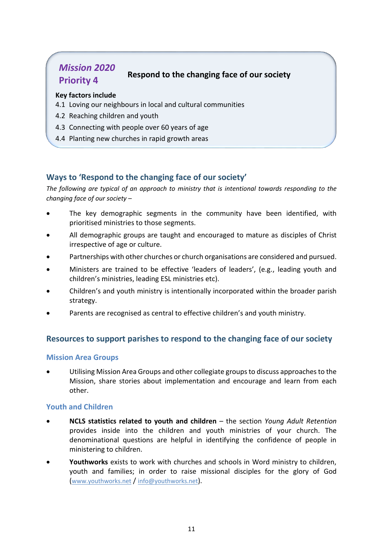# *Mission 2020* **Priority 4 Respond to the changing face of our society**

#### **Key factors include**

- 4.1 Loving our neighbours in local and cultural communities
- 4.2 Reaching children and youth
- 4.3 Connecting with people over 60 years of age
- 4.4 Planting new churches in rapid growth areas

#### **Ways to 'Respond to the changing face of our society'**

*The following are typical of an approach to ministry that is intentional towards responding to the changing face of our society –*

- The key demographic segments in the community have been identified, with prioritised ministries to those segments.
- All demographic groups are taught and encouraged to mature as disciples of Christ irrespective of age or culture.
- Partnerships with other churches or church organisations are considered and pursued.
- Ministers are trained to be effective 'leaders of leaders', (e.g., leading youth and children's ministries, leading ESL ministries etc).
- Children's and youth ministry is intentionally incorporated within the broader parish strategy.
- Parents are recognised as central to effective children's and youth ministry.

#### **Resources to support parishes to respond to the changing face of our society**

#### **Mission Area Groups**

 Utilising Mission Area Groups and other collegiate groups to discuss approaches to the Mission, share stories about implementation and encourage and learn from each other.

#### **Youth and Children**

- **NCLS statistics related to youth and children** the section *Young Adult Retention* provides inside into the children and youth ministries of your church. The denominational questions are helpful in identifying the confidence of people in ministering to children.
- **Youthworks** exists to work with churches and schools in Word ministry to children, youth and families; in order to raise missional disciples for the glory of God ([www.youthworks.net](http://www.youthworks.net/) / [info@youthworks.net](mailto:info@youthworks.net)).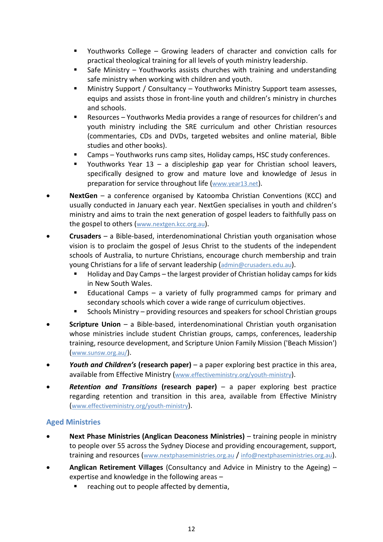- Youthworks College Growing leaders of character and conviction calls for practical theological training for all levels of youth ministry leadership.
- Safe Ministry Youthworks assists churches with training and understanding safe ministry when working with children and youth.
- Ministry Support / Consultancy Youthworks Ministry Support team assesses, equips and assists those in front-line youth and children's ministry in churches and schools.
- Resources Youthworks Media provides a range of resources for children's and youth ministry including the SRE curriculum and other Christian resources (commentaries, CDs and DVDs, targeted websites and online material, Bible studies and other books).
- Camps Youthworks runs camp sites, Holiday camps, HSC study conferences.
- Youthworks Year  $13 a$  discipleship gap year for Christian school leavers, specifically designed to grow and mature love and knowledge of Jesus in preparation for service throughout life ([www.year13.net](http://www.year13.net/)).
- **NextGen** a conference organised by Katoomba Christian Conventions (KCC) and usually conducted in January each year. NextGen specialises in youth and children's ministry and aims to train the next generation of gospel leaders to faithfully pass on the gospel to others ([www.nextgen.kcc.org.au](http://www.nextgen.kcc.org.au/)).
- **Crusaders** a Bible-based, interdenominational Christian youth organisation whose vision is to proclaim the gospel of Jesus Christ to the students of the independent schools of Australia, to nurture Christians, encourage church membership and train young Christians for a life of servant leadership ([admin@crusaders.edu.au](mailto:admin@crusaders.edu.au)).
	- Holiday and Day Camps the largest provider of Christian holiday camps for kids in New South Wales.
	- Educational Camps a variety of fully programmed camps for primary and secondary schools which cover a wide range of curriculum objectives.
	- Schools Ministry providing resources and speakers for school Christian groups
- **Scripture Union** a Bible-based, interdenominational Christian youth organisation whose ministries include student Christian groups, camps, conferences, leadership training, resource development, and Scripture Union Family Mission ('Beach Mission') (www.sunsw.org.au/).
- *Youth and Children's* **(research paper)** a paper exploring best practice in this area, available from Effective Ministry ([www.effectiveministry.org/youth-ministry](http://www.effectiveministry.org/youth-ministry)).
- *Retention and Transitions* **(research paper)** a paper exploring best practice regarding retention and transition in this area, available from Effective Ministry ([www.effectiveministry.org/youth-ministry](http://www.effectiveministry.org/youth-ministry)).

#### **Aged Ministries**

- **Next Phase Ministries (Anglican Deaconess Ministries)** training people in ministry to people over 55 across the Sydney Diocese and providing encouragement, support, training and resources ([www.nextphaseministries.org.au](http://www.nextphaseministries.org.au/) / [info@nextphaseministries.org.au](mailto:info@nextphaseministries.org.au)).
- **Anglican Retirement Villages** (Consultancy and Advice in Ministry to the Ageing) expertise and knowledge in the following areas –
	- reaching out to people affected by dementia,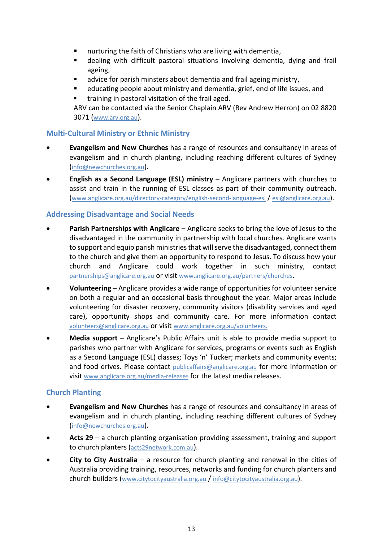- nurturing the faith of Christians who are living with dementia,
- dealing with difficult pastoral situations involving dementia, dying and frail ageing,
- advice for parish minsters about dementia and frail ageing ministry,
- educating people about ministry and dementia, grief, end of life issues, and
- training in pastoral visitation of the frail aged.

ARV can be contacted via the Senior Chaplain ARV (Rev Andrew Herron) on 02 8820 3071 (www.arv.org.au).

#### **Multi-Cultural Ministry or Ethnic Ministry**

- **Evangelism and New Churches** has a range of resources and consultancy in areas of evangelism and in church planting, including reaching different cultures of Sydney ([info@newchurches.org.au](mailto:info@newchurches.org.au)).
- **English as a Second Language (ESL) ministry** Anglicare partners with churches to assist and train in the running of ESL classes as part of their community outreach. (www.anglicare.org.au/directory-category/english-second-language-esl / esl@anglicare.org.au).

#### **Addressing Disadvantage and Social Needs**

- **Parish Partnerships with Anglicare** Anglicare seeks to bring the love of Jesus to the disadvantaged in the community in partnership with local churches. Anglicare wants to support and equip parish ministries that will serve the disadvantaged, connect them to the church and give them an opportunity to respond to Jesus. To discuss how your church and Anglicare could work together in such ministry, contact partnerships@anglicare.org.au or visit www.anglicare.org.au/partners/churches.
- **Volunteering** Anglicare provides a wide range of opportunities for volunteer service on both a regular and an occasional basis throughout the year. Major areas include volunteering for disaster recovery, community visitors (disability services and aged care), opportunity shops and community care. For more information contact volunteers@anglicare.org.au or visit www.anglicare.org.au/volunteers.
- **Media support** Anglicare's Public Affairs unit is able to provide media support to parishes who partner with Anglicare for services, programs or events such as English as a Second Language (ESL) classes; Toys 'n' Tucker; markets and community events; and food drives. Please contact publicaffairs@anglicare.org.au for more information or visit www.anglicare.org.au/media-releases for the latest media releases.

#### **Church Planting**

- **Evangelism and New Churches** has a range of resources and consultancy in areas of evangelism and in church planting, including reaching different cultures of Sydney (info@newchurches.org.au).
- **Acts 29** a church planting organisation providing assessment, training and support to church planters ([acts29network.com.au](http://acts29network.com.au/)).
- **City to City Australia** a resource for church planting and renewal in the cities of Australia providing training, resources, networks and funding for church planters and church builders ([www.citytocityaustralia.org.au](http://www.citytocityaustralia.org.au/) / [info@citytocityaustralia.org.au](mailto:info@citytocityaustralia.org.au)).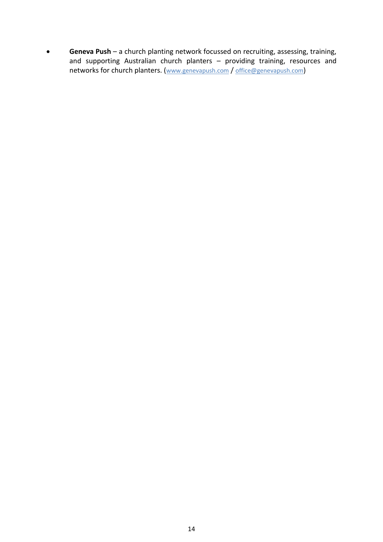**Geneva Push** – a church planting network focussed on recruiting, assessing, training, and supporting Australian church planters – providing training, resources and networks for church planters. ([www.genevapush.com](http://www.genevapush.com/) / [office@genevapush.com](mailto:office@genevapush.com))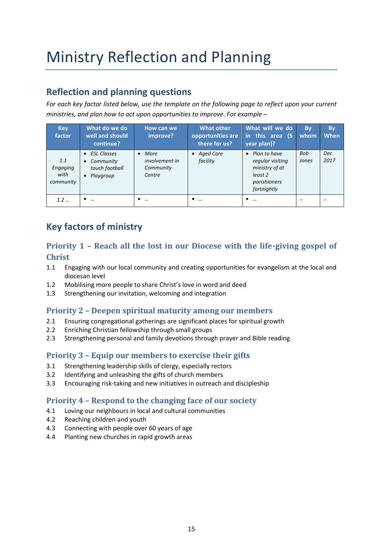# Ministry Reflection and Planning

### **Reflection and planning questions**

*For each key factor listed below, use the template on the following page to reflect upon your current ministries, and plan how to act upon opportunities to improve. For example –*

| <b>Key</b><br>factor                 | What do we do<br>well and should<br>continue?                            | How can we<br>improve?                                   | <b>What other</b><br>opportunities are<br>there for us? | What will we do<br>in this area (5<br>year plan)?                                                         | <b>By</b><br>whom | <b>By</b><br><b>When</b> |
|--------------------------------------|--------------------------------------------------------------------------|----------------------------------------------------------|---------------------------------------------------------|-----------------------------------------------------------------------------------------------------------|-------------------|--------------------------|
| 1.1<br>Engaging<br>with<br>community | • ESL Classes<br>Community<br>$\bullet$<br>touch football<br>• Playgroup | $•$ More<br><i>involvement in</i><br>Community<br>Centre | • Aged Care<br>facility                                 | Plan to have<br>$\bullet$<br>regular visiting<br>ministry of at<br>least 2<br>parishioners<br>fortnightly | Bob<br>Jones      | <b>Dec</b><br>2017       |
| 1.2                                  | $\cdots$                                                                 | $\dddotsc$<br>٠                                          | $\cdots$                                                | ٠<br>$\cdots$                                                                                             |                   |                          |

# **Key factors of ministry**

#### **Priority 1 – Reach all the lost in our Diocese with the life-giving gospel of Christ**

- 1.1 Engaging with our local community and creating opportunities for evangelism at the local and diocesan level
- 1.2 Mobilising more people to share Christ's love in word and deed
- 1.3 Strengthening our invitation, welcoming and integration

#### **Priority 2 – Deepen spiritual maturity among our members**

- 2.1 Ensuring congregational gatherings are significant places for spiritual growth
- 2.2 Enriching Christian fellowship through small groups
- 2.3 Strengthening personal and family devotions through prayer and Bible reading

#### **Priority 3 – Equip our members to exercise their gifts**

- 3.1 Strengthening leadership skills of clergy, especially rectors
- 3.2 Identifying and unleashing the gifts of church members
- 3.3 Encouraging risk-taking and new initiatives in outreach and discipleship

#### **Priority 4 – Respond to the changing face of our society**

- 4.1 Loving our neighbours in local and cultural communities
- 4.2 Reaching children and youth
- 4.3 Connecting with people over 60 years of age
- 4.4 Planting new churches in rapid growth areas